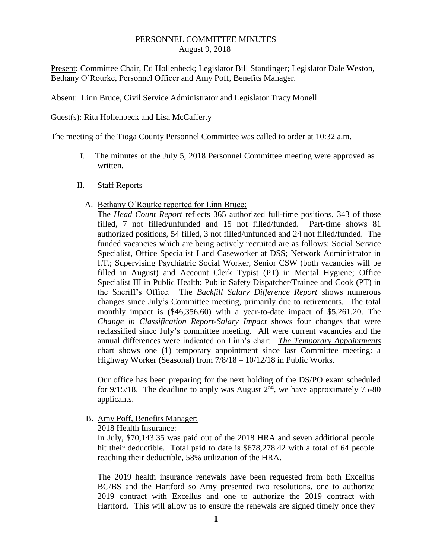## PERSONNEL COMMITTEE MINUTES August 9, 2018

Present: Committee Chair, Ed Hollenbeck; Legislator Bill Standinger; Legislator Dale Weston, Bethany O'Rourke, Personnel Officer and Amy Poff, Benefits Manager.

Absent: Linn Bruce, Civil Service Administrator and Legislator Tracy Monell

Guest(s): Rita Hollenbeck and Lisa McCafferty

The meeting of the Tioga County Personnel Committee was called to order at 10:32 a.m.

- I. The minutes of the July 5, 2018 Personnel Committee meeting were approved as written.
- II. Staff Reports
	- A. Bethany O'Rourke reported for Linn Bruce:

The *Head Count Report* reflects 365 authorized full-time positions, 343 of those filled, 7 not filled/unfunded and 15 not filled/funded. Part-time shows 81 authorized positions, 54 filled, 3 not filled/unfunded and 24 not filled/funded. The funded vacancies which are being actively recruited are as follows: Social Service Specialist, Office Specialist I and Caseworker at DSS; Network Administrator in I.T.; Supervising Psychiatric Social Worker, Senior CSW (both vacancies will be filled in August) and Account Clerk Typist (PT) in Mental Hygiene; Office Specialist III in Public Health; Public Safety Dispatcher/Trainee and Cook (PT) in the Sheriff's Office. The *Backfill Salary Difference Report* shows numerous changes since July's Committee meeting, primarily due to retirements. The total monthly impact is (\$46,356.60) with a year-to-date impact of \$5,261.20. The *Change in Classification Report-Salary Impact* shows four changes that were reclassified since July's committee meeting. All were current vacancies and the annual differences were indicated on Linn's chart. *The Temporary Appointments* chart shows one (1) temporary appointment since last Committee meeting: a Highway Worker (Seasonal) from 7/8/18 – 10/12/18 in Public Works.

Our office has been preparing for the next holding of the DS/PO exam scheduled for 9/15/18. The deadline to apply was August  $2<sup>nd</sup>$ , we have approximately 75-80 applicants.

B. Amy Poff, Benefits Manager:

2018 Health Insurance:

In July, \$70,143.35 was paid out of the 2018 HRA and seven additional people hit their deductible. Total paid to date is \$678,278.42 with a total of 64 people reaching their deductible, 58% utilization of the HRA.

The 2019 health insurance renewals have been requested from both Excellus BC/BS and the Hartford so Amy presented two resolutions, one to authorize 2019 contract with Excellus and one to authorize the 2019 contract with Hartford. This will allow us to ensure the renewals are signed timely once they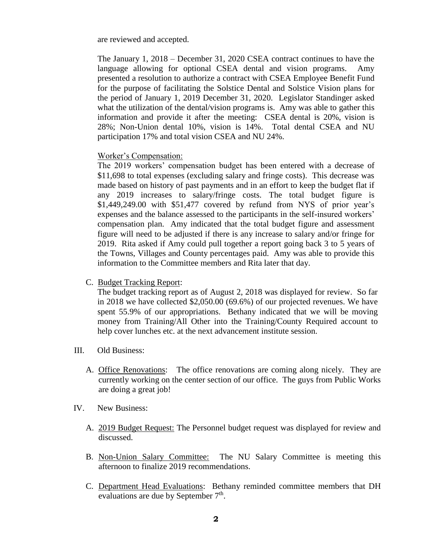are reviewed and accepted.

The January 1, 2018 – December 31, 2020 CSEA contract continues to have the language allowing for optional CSEA dental and vision programs. Amy presented a resolution to authorize a contract with CSEA Employee Benefit Fund for the purpose of facilitating the Solstice Dental and Solstice Vision plans for the period of January 1, 2019 December 31, 2020. Legislator Standinger asked what the utilization of the dental/vision programs is. Amy was able to gather this information and provide it after the meeting: CSEA dental is 20%, vision is 28%; Non-Union dental 10%, vision is 14%. Total dental CSEA and NU participation 17% and total vision CSEA and NU 24%.

## Worker's Compensation:

The 2019 workers' compensation budget has been entered with a decrease of \$11,698 to total expenses (excluding salary and fringe costs). This decrease was made based on history of past payments and in an effort to keep the budget flat if any 2019 increases to salary/fringe costs. The total budget figure is \$1,449,249.00 with \$51,477 covered by refund from NYS of prior year's expenses and the balance assessed to the participants in the self-insured workers' compensation plan. Amy indicated that the total budget figure and assessment figure will need to be adjusted if there is any increase to salary and/or fringe for 2019. Rita asked if Amy could pull together a report going back 3 to 5 years of the Towns, Villages and County percentages paid. Amy was able to provide this information to the Committee members and Rita later that day.

C. Budget Tracking Report:

The budget tracking report as of August 2, 2018 was displayed for review. So far in 2018 we have collected \$2,050.00 (69.6%) of our projected revenues. We have spent 55.9% of our appropriations. Bethany indicated that we will be moving money from Training/All Other into the Training/County Required account to help cover lunches etc. at the next advancement institute session.

- III. Old Business:
	- A. Office Renovations: The office renovations are coming along nicely. They are currently working on the center section of our office. The guys from Public Works are doing a great job!
- IV. New Business:
	- A. 2019 Budget Request: The Personnel budget request was displayed for review and discussed.
	- B. Non-Union Salary Committee: The NU Salary Committee is meeting this afternoon to finalize 2019 recommendations.
	- C. Department Head Evaluations: Bethany reminded committee members that DH evaluations are due by September  $7<sup>th</sup>$ .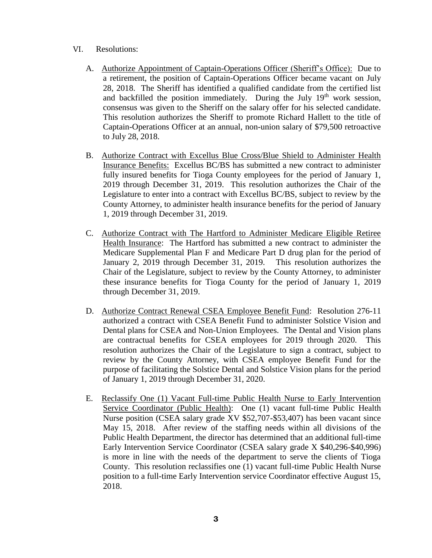- VI. Resolutions:
	- A. Authorize Appointment of Captain-Operations Officer (Sheriff's Office): Due to a retirement, the position of Captain-Operations Officer became vacant on July 28, 2018. The Sheriff has identified a qualified candidate from the certified list and backfilled the position immediately. During the July  $19<sup>th</sup>$  work session, consensus was given to the Sheriff on the salary offer for his selected candidate. This resolution authorizes the Sheriff to promote Richard Hallett to the title of Captain-Operations Officer at an annual, non-union salary of \$79,500 retroactive to July 28, 2018.
	- B. Authorize Contract with Excellus Blue Cross/Blue Shield to Administer Health Insurance Benefits: Excellus BC/BS has submitted a new contract to administer fully insured benefits for Tioga County employees for the period of January 1, 2019 through December 31, 2019. This resolution authorizes the Chair of the Legislature to enter into a contract with Excellus BC/BS, subject to review by the County Attorney, to administer health insurance benefits for the period of January 1, 2019 through December 31, 2019.
	- C. Authorize Contract with The Hartford to Administer Medicare Eligible Retiree Health Insurance: The Hartford has submitted a new contract to administer the Medicare Supplemental Plan F and Medicare Part D drug plan for the period of January 2, 2019 through December 31, 2019. This resolution authorizes the Chair of the Legislature, subject to review by the County Attorney, to administer these insurance benefits for Tioga County for the period of January 1, 2019 through December 31, 2019.
	- D. Authorize Contract Renewal CSEA Employee Benefit Fund: Resolution 276-11 authorized a contract with CSEA Benefit Fund to administer Solstice Vision and Dental plans for CSEA and Non-Union Employees. The Dental and Vision plans are contractual benefits for CSEA employees for 2019 through 2020. This resolution authorizes the Chair of the Legislature to sign a contract, subject to review by the County Attorney, with CSEA employee Benefit Fund for the purpose of facilitating the Solstice Dental and Solstice Vision plans for the period of January 1, 2019 through December 31, 2020.
	- E. Reclassify One (1) Vacant Full-time Public Health Nurse to Early Intervention Service Coordinator (Public Health): One (1) vacant full-time Public Health Nurse position (CSEA salary grade XV \$52,707-\$53,407) has been vacant since May 15, 2018. After review of the staffing needs within all divisions of the Public Health Department, the director has determined that an additional full-time Early Intervention Service Coordinator (CSEA salary grade X \$40,296-\$40,996) is more in line with the needs of the department to serve the clients of Tioga County. This resolution reclassifies one (1) vacant full-time Public Health Nurse position to a full-time Early Intervention service Coordinator effective August 15, 2018.